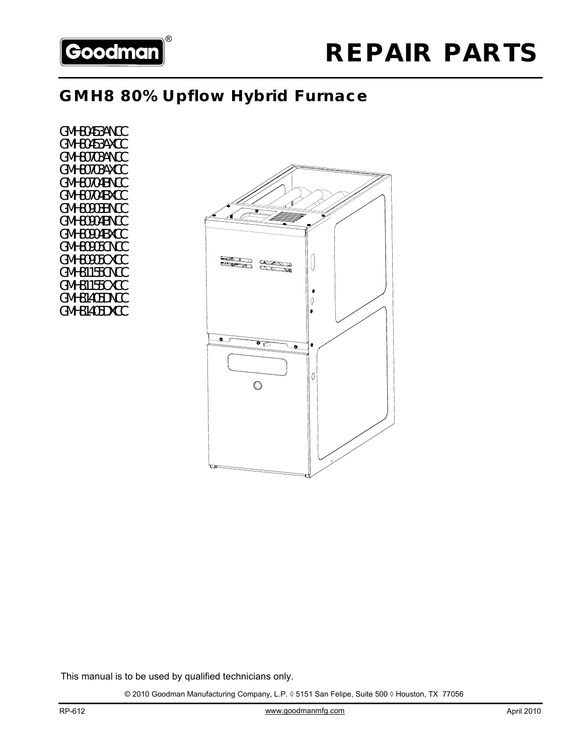

# **GMH8 80% Upflow Hybrid Furnace**

GMH80453ANCC GMH80453AXCC GMH80703ANCC GMH80703AXCC GMH80704BNCC GMH80704BXCC GMH80903BNCC GMH80904BNCC GMH80904BXCC GMH80905CNCC GMH80905CXCC GMH81155CNCC GMH81155CXCC GMH81405DNCC GMH81405DXCC



This manual is to be used by qualified technicians only.

© 2010 Goodman Manufacturing Company, L.P. ◊ 5151 San Felipe, Suite 500 ◊ Houston, TX 77056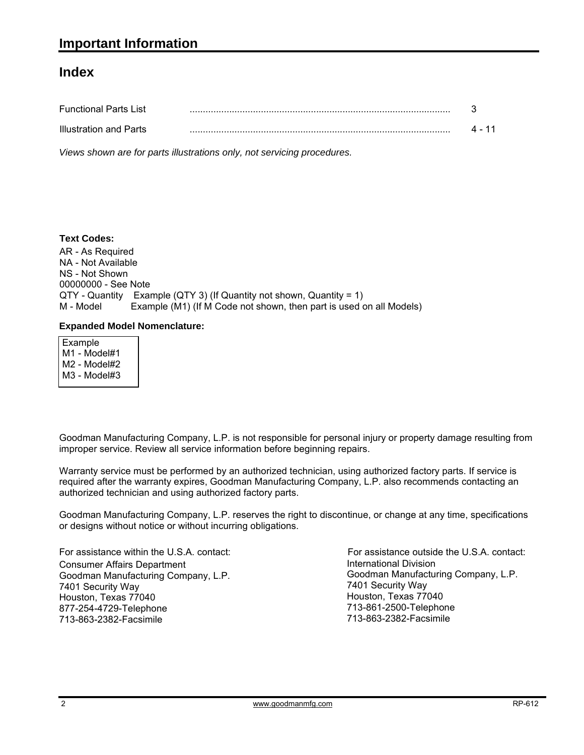### **Index**

| <b>Functional Parts List</b>  |  |
|-------------------------------|--|
| <b>Illustration and Parts</b> |  |

*Views shown are for parts illustrations only, not servicing procedures.*

#### AR - As Required NA - Not Available NS - Not Shown 00000000 - See Note QTY - Quantity Example (QTY 3) (If Quantity not shown, Quantity = 1) M - Model Example (M1) (If M Code not shown, then part is used on all Models) **Text Codes:**

#### **Expanded Model Nomenclature:**

 Example M1 - Model#1 M2 - Model#2 M3 - Model#3

Goodman Manufacturing Company, L.P. is not responsible for personal injury or property damage resulting from improper service. Review all service information before beginning repairs.

Warranty service must be performed by an authorized technician, using authorized factory parts. If service is required after the warranty expires, Goodman Manufacturing Company, L.P. also recommends contacting an authorized technician and using authorized factory parts.

Goodman Manufacturing Company, L.P. reserves the right to discontinue, or change at any time, specifications or designs without notice or without incurring obligations.

For assistance within the U.S.A. contact: Consumer Affairs Department Goodman Manufacturing Company, L.P. 7401 Security Way Houston, Texas 77040 877-254-4729-Telephone 713-863-2382-Facsimile

International Division International Division<br>Goodman Manufacturing Company, L.P. 7401 Security Way Houston, Texas 77040 713-861-2500-Telephone 713-863-2382-Facsimile For assistance outside the U.S.A. contact: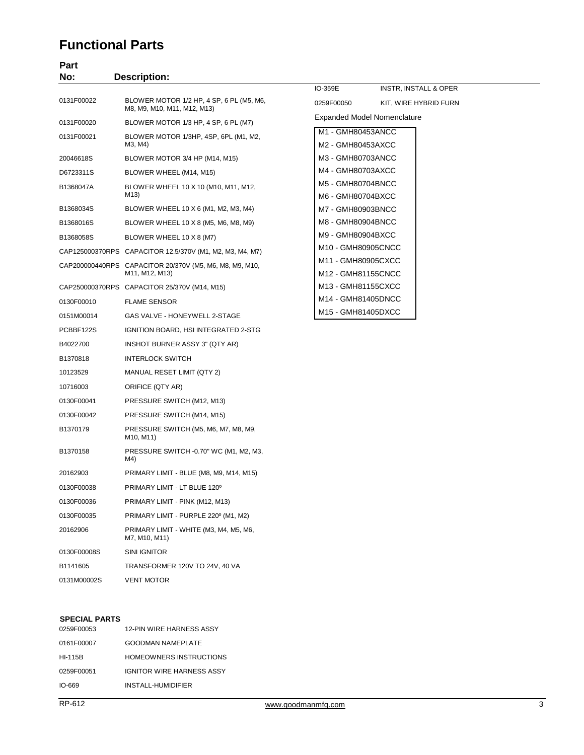### **Functional Parts**

| Part<br>No: | <b>Description:</b>                                                       |                                          |                             |
|-------------|---------------------------------------------------------------------------|------------------------------------------|-----------------------------|
|             |                                                                           | IO-359E                                  | INSTR, INSTALL & OPER       |
| 0131F00022  | BLOWER MOTOR 1/2 HP, 4 SP, 6 PL (M5, M6,<br>M8, M9, M10, M11, M12, M13)   | 0259F00050                               | KIT, WIRE HYBRID FURN       |
| 0131F00020  | BLOWER MOTOR 1/3 HP, 4 SP, 6 PL (M7)                                      |                                          | Expanded Model Nomenclature |
| 0131F00021  | BLOWER MOTOR 1/3HP, 4SP, 6PL (M1, M2,<br>M3, M4)                          | M1 - GMH80453ANCC<br>M2 - GMH80453AXCC   |                             |
| 20046618S   | BLOWER MOTOR 3/4 HP (M14, M15)                                            | M3 - GMH80703ANCC                        |                             |
| D6723311S   | BLOWER WHEEL (M14, M15)                                                   | M4 - GMH80703AXCC                        |                             |
| B1368047A   | BLOWER WHEEL 10 X 10 (M10, M11, M12,<br>M13)                              | M5 - GMH80704BNCC<br>M6 - GMH80704BXCC   |                             |
| B1368034S   | BLOWER WHEEL 10 X 6 (M1, M2, M3, M4)                                      | M7 - GMH80903BNCC                        |                             |
| B1368016S   | BLOWER WHEEL 10 X 8 (M5, M6, M8, M9)                                      | M8 - GMH80904BNCC                        |                             |
| B1368058S   | BLOWER WHEEL 10 X 8 (M7)                                                  | M9 - GMH80904BXCC                        |                             |
|             | CAP125000370RPS CAPACITOR 12.5/370V (M1, M2, M3, M4, M7)                  | M10 - GMH80905CNCC                       |                             |
|             | CAP200000440RPS CAPACITOR 20/370V (M5, M6, M8, M9, M10,<br>M11, M12, M13) | M11 - GMH80905CXCC<br>M12 - GMH81155CNCC |                             |
|             | CAP250000370RPS CAPACITOR 25/370V (M14, M15)                              | M13 - GMH81155CXCC                       |                             |
| 0130F00010  | <b>FLAME SENSOR</b>                                                       | M14 - GMH81405DNCC                       |                             |
| 0151M00014  | GAS VALVE - HONEYWELL 2-STAGE                                             | M15 - GMH81405DXCC                       |                             |
| PCBBF122S   | IGNITION BOARD, HSI INTEGRATED 2-STG                                      |                                          |                             |
| B4022700    | INSHOT BURNER ASSY 3" (QTY AR)                                            |                                          |                             |
| B1370818    | <b>INTERLOCK SWITCH</b>                                                   |                                          |                             |
| 10123529    | MANUAL RESET LIMIT (QTY 2)                                                |                                          |                             |
| 10716003    | ORIFICE (QTY AR)                                                          |                                          |                             |
| 0130F00041  | PRESSURE SWITCH (M12, M13)                                                |                                          |                             |
| 0130F00042  | PRESSURE SWITCH (M14, M15)                                                |                                          |                             |
| B1370179    | PRESSURE SWITCH (M5, M6, M7, M8, M9,<br>M10, M11)                         |                                          |                             |
| B1370158    | PRESSURE SWITCH -0.70" WC (M1, M2, M3,<br>M4)                             |                                          |                             |
| 20162903    | PRIMARY LIMIT - BLUE (M8, M9, M14, M15)                                   |                                          |                             |
| 0130F00038  | PRIMARY LIMIT - LT BLUE 120°                                              |                                          |                             |
| 0130F00036  | PRIMARY LIMIT - PINK (M12, M13)                                           |                                          |                             |
| 0130F00035  | PRIMARY LIMIT - PURPLE 220° (M1, M2)                                      |                                          |                             |
| 20162906    | PRIMARY LIMIT - WHITE (M3, M4, M5, M6,<br>M7, M10, M11)                   |                                          |                             |
| 0130F00008S | SINI IGNITOR                                                              |                                          |                             |
| B1141605    | TRANSFORMER 120V TO 24V, 40 VA                                            |                                          |                             |
| 0131M00002S | <b>VENT MOTOR</b>                                                         |                                          |                             |

#### **SPECIAL PARTS**

| 0259F00053     | <b>12-PIN WIRE HARNESS ASSY</b>  |
|----------------|----------------------------------|
| 0161F00007     | <b>GOODMAN NAMEPLATE</b>         |
| <b>HI-115B</b> | <b>HOMEOWNERS INSTRUCTIONS</b>   |
| 0259F00051     | <b>IGNITOR WIRE HARNESS ASSY</b> |
| $IO-669$       | INSTALL-HUMIDIFIER               |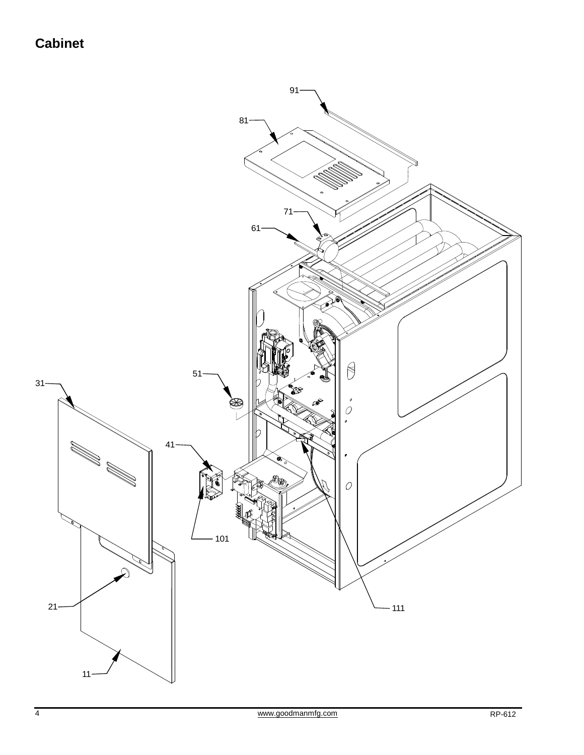## **Cabinet**

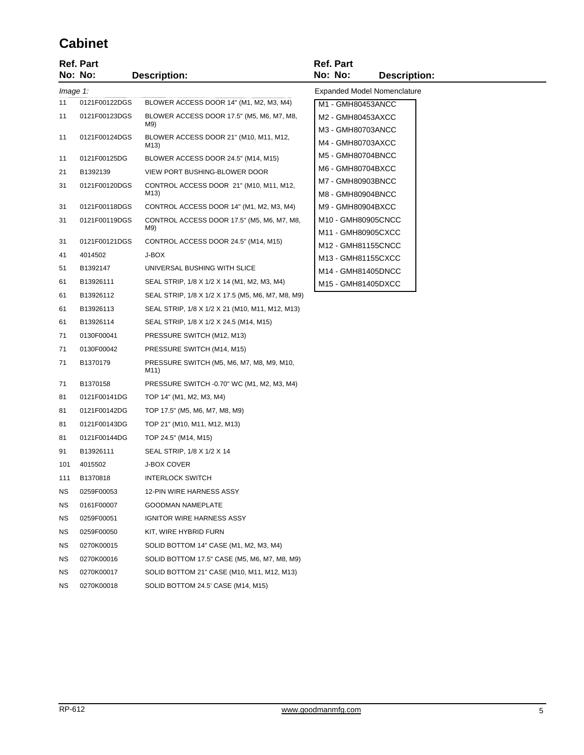## **Cabinet**

|           | Ref. Part<br>No: No: | <b>Description:</b>                               | <b>Ref. Part</b><br>No: No: | <b>Description:</b>                |
|-----------|----------------------|---------------------------------------------------|-----------------------------|------------------------------------|
|           | Image 1:             |                                                   |                             | <b>Expanded Model Nomenclature</b> |
| 11        | 0121F00122DGS        | BLOWER ACCESS DOOR 14" (M1, M2, M3, M4)           | M1 - GMH80453ANCC           |                                    |
| 11        | 0121F00123DGS        | BLOWER ACCESS DOOR 17.5" (M5, M6, M7, M8,         | M2 - GMH80453AXCC           |                                    |
|           |                      | M9)                                               | M3 - GMH80703ANCC           |                                    |
| 11        | 0121F00124DGS        | BLOWER ACCESS DOOR 21" (M10, M11, M12,<br>M13)    | M4 - GMH80703AXCC           |                                    |
| 11        | 0121F00125DG         | BLOWER ACCESS DOOR 24.5" (M14, M15)               | M5 - GMH80704BNCC           |                                    |
| 21        | B1392139             | VIEW PORT BUSHING-BLOWER DOOR                     | M6 - GMH80704BXCC           |                                    |
| 31        | 0121F00120DGS        | CONTROL ACCESS DOOR 21" (M10, M11, M12,           | M7 - GMH80903BNCC           |                                    |
|           |                      | M13)                                              | M8 - GMH80904BNCC           |                                    |
| 31        | 0121F00118DGS        | CONTROL ACCESS DOOR 14" (M1, M2, M3, M4)          | M9 - GMH80904BXCC           |                                    |
| 31        | 0121F00119DGS        | CONTROL ACCESS DOOR 17.5" (M5, M6, M7, M8,<br>M9) | M10 - GMH80905CNCC          |                                    |
| 31        | 0121F00121DGS        | CONTROL ACCESS DOOR 24.5" (M14, M15)              | M11 - GMH80905CXCC          |                                    |
| 41        | 4014502              | J-BOX                                             | M12 - GMH81155CNCC          |                                    |
|           |                      | UNIVERSAL BUSHING WITH SLICE                      | M13 - GMH81155CXCC          |                                    |
| 51        | B1392147             |                                                   | M14 - GMH81405DNCC          |                                    |
| 61        | B13926111            | SEAL STRIP, 1/8 X 1/2 X 14 (M1, M2, M3, M4)       | M15 - GMH81405DXCC          |                                    |
| 61        | B13926112            | SEAL STRIP, 1/8 X 1/2 X 17.5 (M5, M6, M7, M8, M9) |                             |                                    |
| 61        | B13926113            | SEAL STRIP, 1/8 X 1/2 X 21 (M10, M11, M12, M13)   |                             |                                    |
| 61        | B13926114            | SEAL STRIP, 1/8 X 1/2 X 24.5 (M14, M15)           |                             |                                    |
| 71        | 0130F00041           | PRESSURE SWITCH (M12, M13)                        |                             |                                    |
| 71        | 0130F00042           | PRESSURE SWITCH (M14, M15)                        |                             |                                    |
| 71        | B1370179             | PRESSURE SWITCH (M5, M6, M7, M8, M9, M10,<br>M11) |                             |                                    |
| 71        | B1370158             | PRESSURE SWITCH -0.70" WC (M1, M2, M3, M4)        |                             |                                    |
| 81        | 0121F00141DG         | TOP 14" (M1, M2, M3, M4)                          |                             |                                    |
| 81        | 0121F00142DG         | TOP 17.5" (M5, M6, M7, M8, M9)                    |                             |                                    |
| 81        | 0121F00143DG         | TOP 21" (M10, M11, M12, M13)                      |                             |                                    |
| 81        | 0121F00144DG         | TOP 24.5" (M14, M15)                              |                             |                                    |
| 91        | B13926111            | SEAL STRIP, 1/8 X 1/2 X 14                        |                             |                                    |
| 101       | 4015502              | <b>J-BOX COVER</b>                                |                             |                                    |
| 111       | B1370818             | <b>INTERLOCK SWITCH</b>                           |                             |                                    |
| ΝS        | 0259F00053           | 12-PIN WIRE HARNESS ASSY                          |                             |                                    |
| ΝS        | 0161F00007           | GOODMAN NAMEPLATE                                 |                             |                                    |
| ΝS        | 0259F00051           | IGNITOR WIRE HARNESS ASSY                         |                             |                                    |
| ΝS        | 0259F00050           | KIT, WIRE HYBRID FURN                             |                             |                                    |
| NS        | 0270K00015           | SOLID BOTTOM 14" CASE (M1, M2, M3, M4)            |                             |                                    |
| ΝS        | 0270K00016           | SOLID BOTTOM 17.5" CASE (M5, M6, M7, M8, M9)      |                             |                                    |
| <b>NS</b> | 0270K00017           | SOLID BOTTOM 21" CASE (M10, M11, M12, M13)        |                             |                                    |
| NS        | 0270K00018           | SOLID BOTTOM 24.5' CASE (M14, M15)                |                             |                                    |
|           |                      |                                                   |                             |                                    |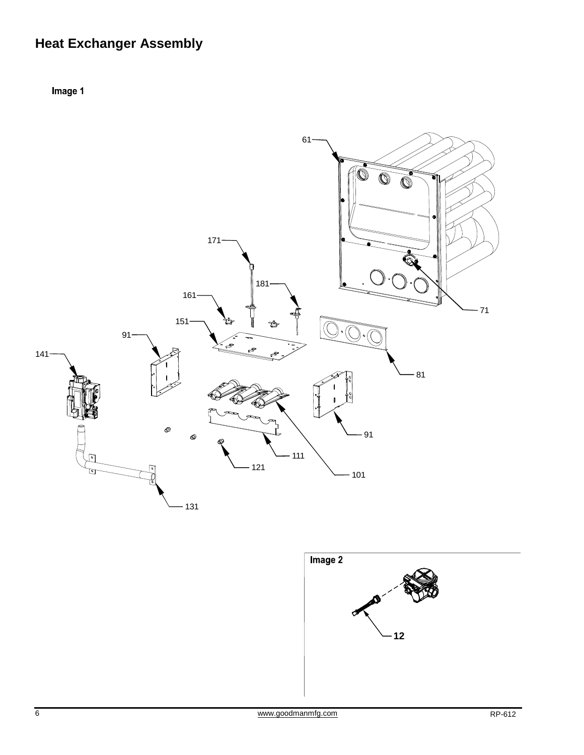# **Heat Exchanger Assembly**

Image 1



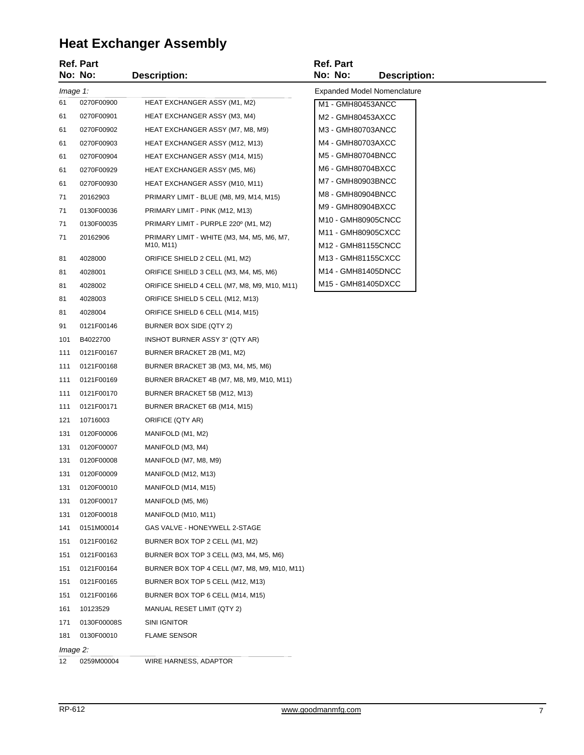## **Heat Exchanger Assembly**

|          | <b>Ref. Part</b> |                                                                                   | <b>Ref. Part</b> |                   |                                          |
|----------|------------------|-----------------------------------------------------------------------------------|------------------|-------------------|------------------------------------------|
|          | No: No:          | <b>Description:</b>                                                               | No: No:          |                   | <b>Description:</b>                      |
| Image 1: |                  |                                                                                   |                  |                   | <b>Expanded Model Nomenclature</b>       |
| 61       | 0270F00900       | HEAT EXCHANGER ASSY (M1, M2)                                                      |                  | M1 - GMH80453ANCC |                                          |
| 61       | 0270F00901       | HEAT EXCHANGER ASSY (M3, M4)                                                      |                  | M2 - GMH80453AXCC |                                          |
| 61       | 0270F00902       | HEAT EXCHANGER ASSY (M7, M8, M9)                                                  |                  | M3 - GMH80703ANCC |                                          |
| 61       | 0270F00903       | HEAT EXCHANGER ASSY (M12, M13)                                                    |                  | M4 - GMH80703AXCC |                                          |
| 61       | 0270F00904       | <b>HEAT EXCHANGER ASSY (M14, M15)</b>                                             |                  | M5 - GMH80704BNCC |                                          |
| 61       | 0270F00929       | <b>HEAT EXCHANGER ASSY (M5, M6)</b>                                               |                  | M6 - GMH80704BXCC |                                          |
| 61       | 0270F00930       | HEAT EXCHANGER ASSY (M10, M11)                                                    |                  | M7 - GMH80903BNCC |                                          |
| 71       | 20162903         | PRIMARY LIMIT - BLUE (M8, M9, M14, M15)                                           |                  | M8 - GMH80904BNCC |                                          |
| 71       | 0130F00036       | PRIMARY LIMIT - PINK (M12, M13)                                                   |                  | M9 - GMH80904BXCC |                                          |
| 71       | 0130F00035       | PRIMARY LIMIT - PURPLE 220° (M1, M2)                                              |                  |                   | M10 - GMH80905CNCC                       |
| 71       | 20162906         | PRIMARY LIMIT - WHITE (M3, M4, M5, M6, M7,<br>M <sub>10</sub> , M <sub>11</sub> ) |                  |                   | M11 - GMH80905CXCC<br>M12 - GMH81155CNCC |
| 81       | 4028000          | ORIFICE SHIELD 2 CELL (M1, M2)                                                    |                  |                   | M13 - GMH81155CXCC                       |
| 81       | 4028001          | ORIFICE SHIELD 3 CELL (M3, M4, M5, M6)                                            |                  |                   | M14 - GMH81405DNCC                       |
| 81       | 4028002          | ORIFICE SHIELD 4 CELL (M7, M8, M9, M10, M11)                                      |                  |                   | M15 - GMH81405DXCC                       |
| 81       | 4028003          | ORIFICE SHIELD 5 CELL (M12, M13)                                                  |                  |                   |                                          |
| 81       | 4028004          | ORIFICE SHIELD 6 CELL (M14, M15)                                                  |                  |                   |                                          |
| 91       | 0121F00146       | BURNER BOX SIDE (QTY 2)                                                           |                  |                   |                                          |
| 101      | B4022700         | INSHOT BURNER ASSY 3" (QTY AR)                                                    |                  |                   |                                          |
| 111      | 0121F00167       | BURNER BRACKET 2B (M1, M2)                                                        |                  |                   |                                          |
| 111      | 0121F00168       | BURNER BRACKET 3B (M3, M4, M5, M6)                                                |                  |                   |                                          |
| 111      | 0121F00169       | BURNER BRACKET 4B (M7, M8, M9, M10, M11)                                          |                  |                   |                                          |
| 111      | 0121F00170       | BURNER BRACKET 5B (M12, M13)                                                      |                  |                   |                                          |
| 111      | 0121F00171       | BURNER BRACKET 6B (M14, M15)                                                      |                  |                   |                                          |
| 121      | 10716003         | ORIFICE (QTY AR)                                                                  |                  |                   |                                          |
| 131      | 0120F00006       | MANIFOLD (M1, M2)                                                                 |                  |                   |                                          |
| 131      | 0120F00007       | MANIFOLD (M3, M4)                                                                 |                  |                   |                                          |
| 131      | 0120F00008       | MANIFOLD (M7, M8, M9)                                                             |                  |                   |                                          |
| 131      | 0120F00009       | MANIFOLD (M12, M13)                                                               |                  |                   |                                          |
| 131      | 0120F00010       | MANIFOLD (M14, M15)                                                               |                  |                   |                                          |
| 131      | 0120F00017       | MANIFOLD (M5, M6)                                                                 |                  |                   |                                          |
| 131      | 0120F00018       | MANIFOLD (M10, M11)                                                               |                  |                   |                                          |
| 141      | 0151M00014       | GAS VALVE - HONEYWELL 2-STAGE                                                     |                  |                   |                                          |
| 151      | 0121F00162       | BURNER BOX TOP 2 CELL (M1, M2)                                                    |                  |                   |                                          |
| 151      | 0121F00163       | BURNER BOX TOP 3 CELL (M3, M4, M5, M6)                                            |                  |                   |                                          |
| 151      | 0121F00164       | BURNER BOX TOP 4 CELL (M7, M8, M9, M10, M11)                                      |                  |                   |                                          |
| 151      | 0121F00165       | BURNER BOX TOP 5 CELL (M12, M13)                                                  |                  |                   |                                          |
| 151      | 0121F00166       | BURNER BOX TOP 6 CELL (M14, M15)                                                  |                  |                   |                                          |
| 161      | 10123529         | MANUAL RESET LIMIT (QTY 2)                                                        |                  |                   |                                          |
| 171      | 0130F00008S      | SINI IGNITOR                                                                      |                  |                   |                                          |
| 181      | 0130F00010       | <b>FLAME SENSOR</b>                                                               |                  |                   |                                          |
| Image 2: |                  |                                                                                   |                  |                   |                                          |
| 12       | 0259M00004       | WIRE HARNESS, ADAPTOR                                                             |                  |                   |                                          |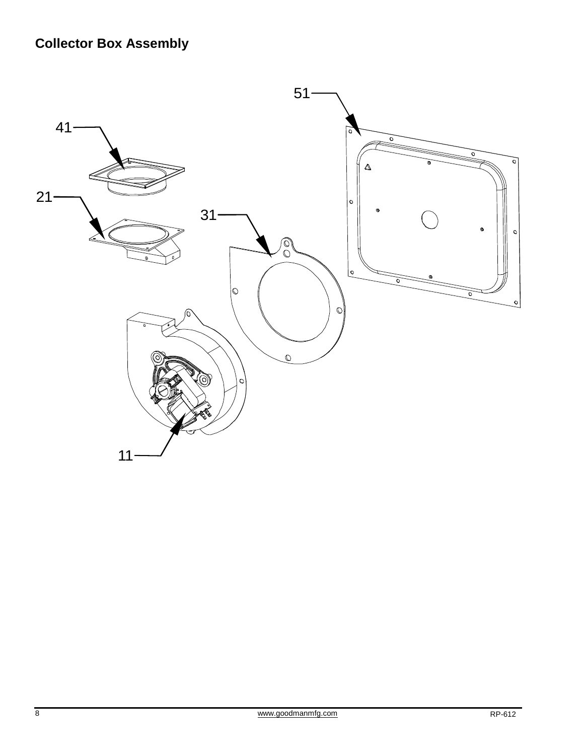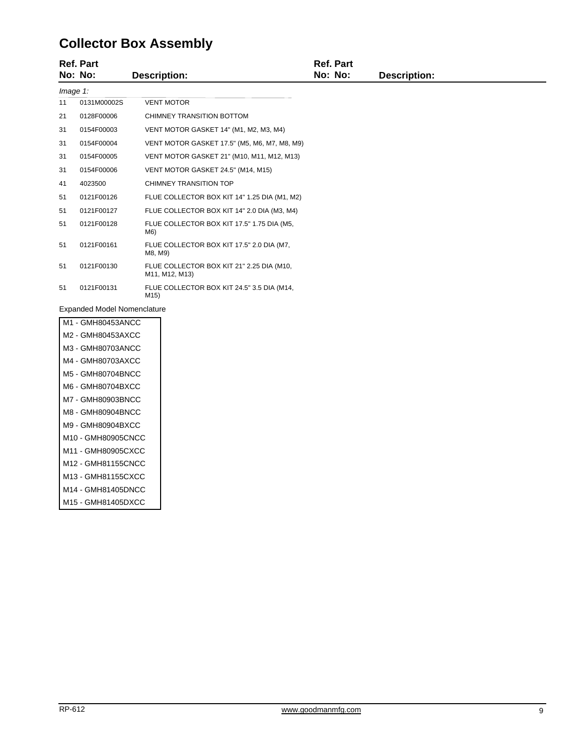## **Collector Box Assembly**

|          | <b>Ref. Part</b> |                                                                 | <b>Ref. Part</b> |                     |  |
|----------|------------------|-----------------------------------------------------------------|------------------|---------------------|--|
|          | No: No:          | Description:                                                    | No: No:          | <b>Description:</b> |  |
| Image 1: |                  |                                                                 |                  |                     |  |
| 11       | 0131M00002S      | <b>VENT MOTOR</b>                                               |                  |                     |  |
| 21       | 0128F00006       | CHIMNEY TRANSITION BOTTOM                                       |                  |                     |  |
| 31       | 0154F00003       | VENT MOTOR GASKET 14" (M1, M2, M3, M4)                          |                  |                     |  |
| 31       | 0154F00004       | VENT MOTOR GASKET 17.5" (M5, M6, M7, M8, M9)                    |                  |                     |  |
| 31       | 0154F00005       | VENT MOTOR GASKET 21" (M10, M11, M12, M13)                      |                  |                     |  |
| 31       | 0154F00006       | VENT MOTOR GASKET 24.5" (M14, M15)                              |                  |                     |  |
| 41       | 4023500          | CHIMNEY TRANSITION TOP                                          |                  |                     |  |
| 51       | 0121F00126       | FLUE COLLECTOR BOX KIT 14" 1.25 DIA (M1, M2)                    |                  |                     |  |
| 51       | 0121F00127       | FLUE COLLECTOR BOX KIT 14" 2.0 DIA (M3, M4)                     |                  |                     |  |
| 51       | 0121F00128       | FLUE COLLECTOR BOX KIT 17.5" 1.75 DIA (M5,<br>M6)               |                  |                     |  |
| 51       | 0121F00161       | FLUE COLLECTOR BOX KIT 17.5" 2.0 DIA (M7,<br>M8, M9)            |                  |                     |  |
| 51       | 0121F00130       | FLUE COLLECTOR BOX KIT 21" 2.25 DIA (M10,<br>M11, M12, M13)     |                  |                     |  |
| 51       | 0121F00131       | FLUE COLLECTOR BOX KIT 24.5" 3.5 DIA (M14,<br>M <sub>15</sub> ) |                  |                     |  |

Expanded Model Nomenclature

| - GMH80453ANCC<br>M1 |
|----------------------|
| M2 - GMH80453AXCC    |
| M3 - GMH80703ANCC    |
| M4 - GMH80703AXCC    |
| M5 - GMH80704BNCC    |
| M6 - GMH80704BXCC    |
| M7 - GMH80903BNCC    |
| M8 - GMH80904BNCC    |
| M9 - GMH80904BXCC    |
| M10 - GMH80905CNCC   |
| M11 - GMH80905CXCC   |
| M12 - GMH81155CNCC   |
| M13 - GMH81155CXCC   |
| M14 - GMH81405DNCC   |
| M15 - GMH81405DXCC   |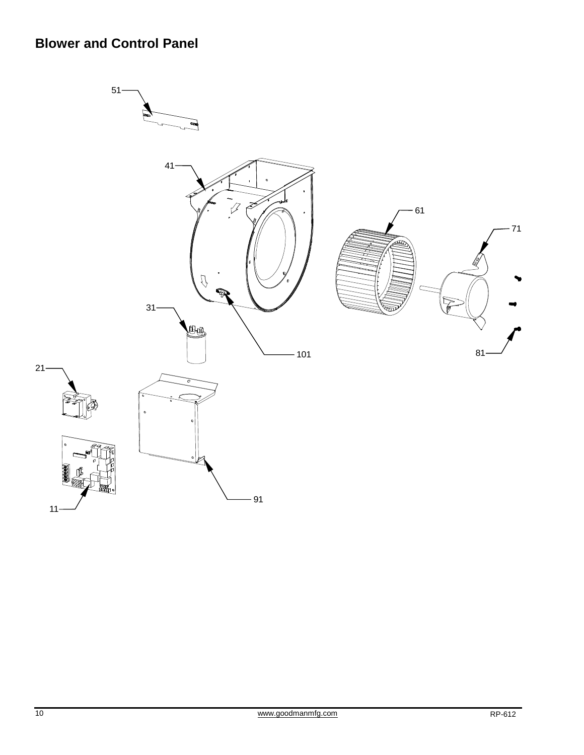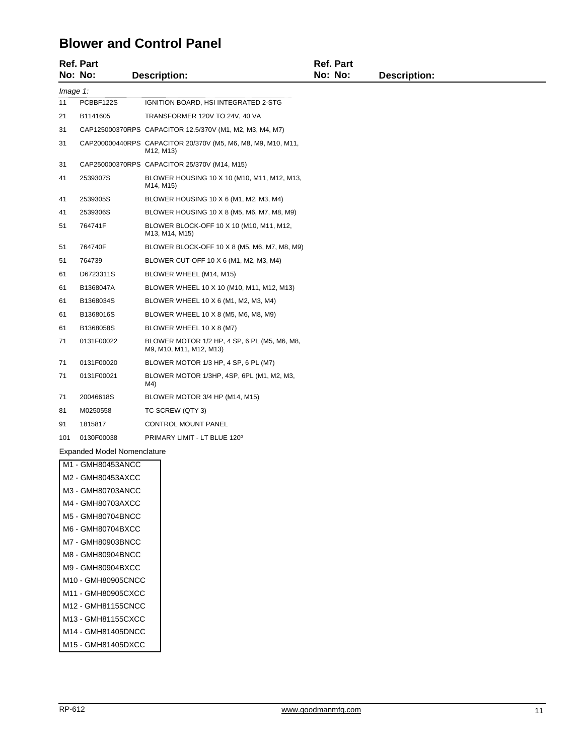### **Blower and Control Panel**

|          | <b>Ref. Part</b><br>No: No:        | <b>Description:</b>                                                       | <b>Ref. Part</b><br>No: No: | <b>Description:</b> |  |
|----------|------------------------------------|---------------------------------------------------------------------------|-----------------------------|---------------------|--|
| Image 1: |                                    |                                                                           |                             |                     |  |
| 11       | PCBBF122S                          | IGNITION BOARD, HSI INTEGRATED 2-STG                                      |                             |                     |  |
| 21       | B1141605                           | TRANSFORMER 120V TO 24V, 40 VA                                            |                             |                     |  |
| 31       |                                    | CAP125000370RPS CAPACITOR 12.5/370V (M1, M2, M3, M4, M7)                  |                             |                     |  |
| 31       |                                    | CAP200000440RPS CAPACITOR 20/370V (M5, M6, M8, M9, M10, M11,<br>M12, M13) |                             |                     |  |
| 31       |                                    | CAP250000370RPS CAPACITOR 25/370V (M14, M15)                              |                             |                     |  |
| 41       | 2539307S                           | BLOWER HOUSING 10 X 10 (M10, M11, M12, M13,<br>M14, M15)                  |                             |                     |  |
| 41       | 2539305S                           | BLOWER HOUSING 10 X 6 (M1, M2, M3, M4)                                    |                             |                     |  |
| 41       | 2539306S                           | BLOWER HOUSING 10 X 8 (M5, M6, M7, M8, M9)                                |                             |                     |  |
| 51       | 764741F                            | BLOWER BLOCK-OFF 10 X 10 (M10, M11, M12,<br>M13, M14, M15)                |                             |                     |  |
| 51       | 764740F                            | BLOWER BLOCK-OFF 10 X 8 (M5, M6, M7, M8, M9)                              |                             |                     |  |
| 51       | 764739                             | BLOWER CUT-OFF 10 X 6 (M1, M2, M3, M4)                                    |                             |                     |  |
| 61       | D6723311S                          | BLOWER WHEEL (M14, M15)                                                   |                             |                     |  |
| 61       | B1368047A                          | BLOWER WHEEL 10 X 10 (M10, M11, M12, M13)                                 |                             |                     |  |
| 61       | B1368034S                          | BLOWER WHEEL 10 X 6 (M1, M2, M3, M4)                                      |                             |                     |  |
| 61       | B1368016S                          | BLOWER WHEEL 10 X 8 (M5, M6, M8, M9)                                      |                             |                     |  |
| 61       | B1368058S                          | BLOWER WHEEL 10 X 8 (M7)                                                  |                             |                     |  |
| 71       | 0131F00022                         | BLOWER MOTOR 1/2 HP, 4 SP, 6 PL (M5, M6, M8,<br>M9, M10, M11, M12, M13)   |                             |                     |  |
| 71       | 0131F00020                         | BLOWER MOTOR 1/3 HP, 4 SP, 6 PL (M7)                                      |                             |                     |  |
| 71       | 0131F00021                         | BLOWER MOTOR 1/3HP, 4SP, 6PL (M1, M2, M3,<br>M4)                          |                             |                     |  |
| 71       | 20046618S                          | BLOWER MOTOR 3/4 HP (M14, M15)                                            |                             |                     |  |
| 81       | M0250558                           | TC SCREW (QTY 3)                                                          |                             |                     |  |
| 91       | 1815817                            | CONTROL MOUNT PANEL                                                       |                             |                     |  |
| 101      | 0130F00038                         | PRIMARY LIMIT - LT BLUE 120°                                              |                             |                     |  |
|          | <b>Expanded Model Nomenclature</b> |                                                                           |                             |                     |  |
|          | M1 - GMH80453ANCC                  |                                                                           |                             |                     |  |
|          | M2 - GMH80453AXCC                  |                                                                           |                             |                     |  |
|          | M3 - GMH80703ANCC                  |                                                                           |                             |                     |  |
|          | M4 - GMH80703AXCC                  |                                                                           |                             |                     |  |
|          | M5 - GMH80704BNCC                  |                                                                           |                             |                     |  |
|          | M6 - GMH80704BXCC                  |                                                                           |                             |                     |  |

- M7 GMH80903BNCC
- M8 GMH80904BNCC
- M9 GMH80904BXCC
- M10 GMH80905CNCC
- M11 GMH80905CXCC
- M12 GMH81155CNCC
- M13 GMH81155CXCC
- M14 GMH81405DNCC
- M15 GMH81405DXCC